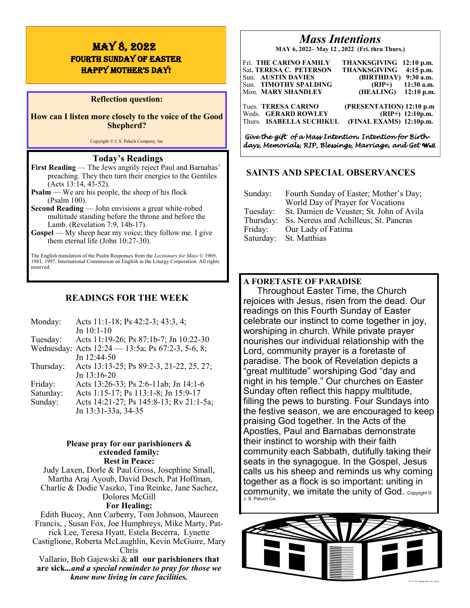# MAY 8, 2022 fourth Sunday of EASTER HAPPY MOTHER'S DAY!

### **Reflection question:**

**How can I listen more closely to the voice of the Good Shepherd?**

Copyright © J. S. Paluch Company, Inc

## **Today's Readings**

- **First Reading** The Jews angrily reject Paul and Barnabas' preaching. They then turn their energies to the Gentiles (Acts 13:14, 43-52).
- **Psalm** We are his people, the sheep of his flock (Psalm 100).
- **Second Reading** John envisions a great white-robed multitude standing before the throne and before the Lamb. (Revelation 7:9, 14b-17).
- **Gospel** My sheep hear my voice; they follow me. I give them eternal life (John 10:27-30).

The English translation of the Psalm Responses from the *Lectionary for Mass* © 1969, 1981, 1997, International Commission on English in the Liturgy Corporation. All rights reserved. .

## **READINGS FOR THE WEEK**

| Monday:   | Acts 11:1-18; Ps 42:2-3; 43:3, 4;                 |
|-----------|---------------------------------------------------|
|           | Jn 10:1-10                                        |
| Tuesday:  | Acts 11:19-26; Ps 87:1b-7; Jn 10:22-30            |
|           | Wednesday: Acts 12:24 - 13:5a; Ps 67:2-3, 5-6, 8; |
|           | Jn 12:44-50                                       |
| Thursday: | Acts 13:13-25; Ps 89:2-3, 21-22, 25, 27;          |
|           | Jn 13:16-20                                       |
| Friday:   | Acts 13:26-33; Ps 2:6-11ab; Jn 14:1-6             |
| Saturday: | Acts 1:15-17; Ps 113:1-8; Jn 15:9-17              |
| Sunday:   | Acts 14:21-27; Ps 145:8-13; Rv 21:1-5a;           |
|           | Jn 13:31-33a, 34-35                               |

### **Please pray for our parishioners & extended family: Rest in Peace:**

Judy Laxen, Dorle & Paul Gross, Josephine Small, Martha Araj Ayoub, David Desch, Pat Hoffman, Charlie & Dodie Vaszko, Tina Reinke, Jane Sachez, Dolores McGill **For Healing:** 

Edith Bucoy, Ann Carberry, Tom Johnson, Maureen Francis, , Susan Fox, Joe Humphreys, Mike Marty, Patrick Lee, Teresa Hyatt, Estela Becerra, Lynette Castiglione, Roberta McLaughlin, Kevin McGuire, Mary Chris Vallario, Bob Gajewski & **all our parishioners that are sick.***..and a special reminder to pray for those we* 

*know now living in care facilities.*

# *Mass Intentions*

**MAY 6, 2022– May 12 , 2022 (Fri. thru Thurs.)**

| Fri. THE CARINO FAMILY<br>Sat. TERESA C. PETERSON<br>Sun. AUSTIN DAVIES<br>Sun. TIMOTHY SPALDING<br>Mon. MARY SHANDLEY | THANKSGIVING 12:10 p.m.<br>$4:15$ p.m.<br><b>THANKSGIVING</b><br>(BIRTHDAY) 9:30 a.m.<br>$11:30$ a.m.<br>$(RIP+)$<br>(HEALING)<br>$12:10$ p.m. |
|------------------------------------------------------------------------------------------------------------------------|------------------------------------------------------------------------------------------------------------------------------------------------|
| Tues. TERESA CARINO                                                                                                    | (PRESENTATION) 12:10 p.m                                                                                                                       |
| Weds. GERARD ROWLEY                                                                                                    | $(RIP+)$ 12:10p.m.                                                                                                                             |
| Thurs. ISABELLA SUCHIKUL                                                                                               | (FINAL EXAMS) 12:10p.m.                                                                                                                        |

*Give the gift of a Mass Intention. Intention for Birthdays, Memorials, RIP, Blessings, Marriage, and Get Well.* 

## **SAINTS AND SPECIAL OBSERVANCES**

| Sunday:                          | Fourth Sunday of Easter; Mother's Day;<br>World Day of Prayer for Vocations                                                       |
|----------------------------------|-----------------------------------------------------------------------------------------------------------------------------------|
| Tuesday:<br>Thursday:<br>Friday: | St. Damien de Veuster; St. John of Avila<br>Ss. Nereus and Achilleus; St. Pancras<br>Our Lady of Fatima<br>Saturday: St. Matthias |

## **A FORETASTE OF PARADISE**

Throughout Easter Time, the Church rejoices with Jesus, risen from the dead. Our readings on this Fourth Sunday of Easter celebrate our instinct to come together in joy, worshiping in church. While private prayer nourishes our individual relationship with the Lord, community prayer is a foretaste of paradise. The book of Revelation depicts a "great multitude" worshiping God "day and night in his temple." Our churches on Easter Sunday often reflect this happy multitude, filling the pews to bursting. Four Sundays into the festive season, we are encouraged to keep praising God together. In the Acts of the Apostles, Paul and Barnabas demonstrate their instinct to worship with their faith community each Sabbath, dutifully taking their seats in the synagogue. In the Gospel, Jesus calls us his sheep and reminds us why coming together as a flock is so important: uniting in community, we imitate the unity of God.  $_{\text{copyright}}$ J. S. Paluch Co.